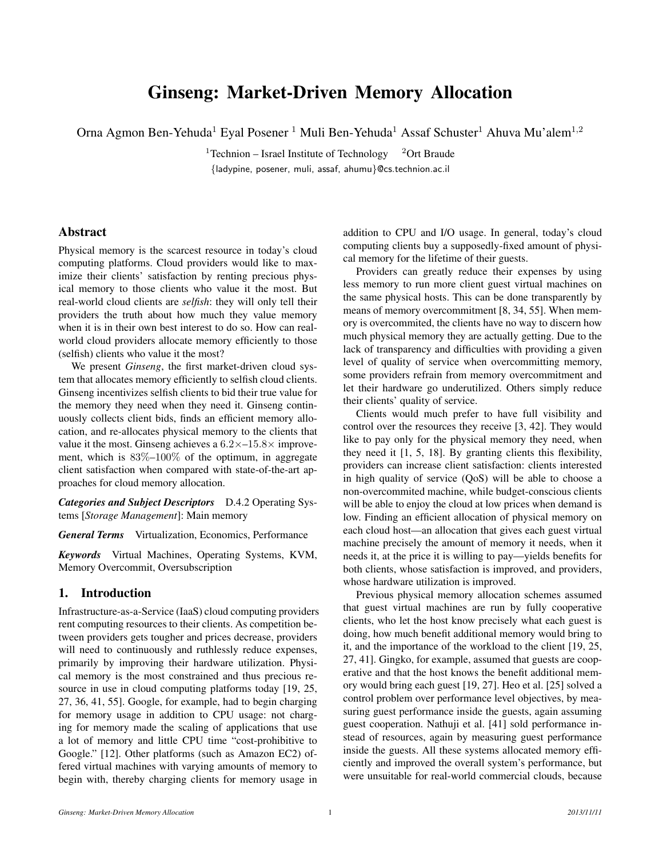# Ginseng: Market-Driven Memory Allocation

Orna Agmon Ben-Yehuda<sup>1</sup> Eyal Posener <sup>1</sup> Muli Ben-Yehuda<sup>1</sup> Assaf Schuster<sup>1</sup> Ahuva Mu'alem<sup>1</sup>*,*<sup>2</sup>

<sup>1</sup>Technion – Israel Institute of Technology  $\frac{2 \text{Ort}}{2}$ *{*ladypine, posener, muli, assaf, ahumu*}*@cs.technion.ac.il

# Abstract

Physical memory is the scarcest resource in today's cloud computing platforms. Cloud providers would like to maximize their clients' satisfaction by renting precious physical memory to those clients who value it the most. But real-world cloud clients are *selfish*: they will only tell their providers the truth about how much they value memory when it is in their own best interest to do so. How can realworld cloud providers allocate memory efficiently to those (selfish) clients who value it the most?

We present *Ginseng*, the first market-driven cloud system that allocates memory efficiently to selfish cloud clients. Ginseng incentivizes selfish clients to bid their true value for the memory they need when they need it. Ginseng continuously collects client bids, finds an efficient memory allocation, and re-allocates physical memory to the clients that value it the most. Ginseng achieves a 6*.*2*×*–15*.*8*×* improvement, which is 83%–100% of the optimum, in aggregate client satisfaction when compared with state-of-the-art approaches for cloud memory allocation.

*Categories and Subject Descriptors* D.4.2 Operating Systems [*Storage Management*]: Main memory

*General Terms* Virtualization, Economics, Performance

*Keywords* Virtual Machines, Operating Systems, KVM, Memory Overcommit, Oversubscription

# 1. Introduction

Infrastructure-as-a-Service (IaaS) cloud computing providers rent computing resources to their clients. As competition between providers gets tougher and prices decrease, providers will need to continuously and ruthlessly reduce expenses, primarily by improving their hardware utilization. Physical memory is the most constrained and thus precious resource in use in cloud computing platforms today [19, 25, 27, 36, 41, 55]. Google, for example, had to begin charging for memory usage in addition to CPU usage: not charging for memory made the scaling of applications that use a lot of memory and little CPU time "cost-prohibitive to Google." [12]. Other platforms (such as Amazon EC2) offered virtual machines with varying amounts of memory to begin with, thereby charging clients for memory usage in

addition to CPU and I/O usage. In general, today's cloud computing clients buy a supposedly-fixed amount of physical memory for the lifetime of their guests.

Providers can greatly reduce their expenses by using less memory to run more client guest virtual machines on the same physical hosts. This can be done transparently by means of memory overcommitment [8, 34, 55]. When memory is overcommited, the clients have no way to discern how much physical memory they are actually getting. Due to the lack of transparency and difficulties with providing a given level of quality of service when overcommitting memory, some providers refrain from memory overcommitment and let their hardware go underutilized. Others simply reduce their clients' quality of service.

Clients would much prefer to have full visibility and control over the resources they receive [3, 42]. They would like to pay only for the physical memory they need, when they need it [1, 5, 18]. By granting clients this flexibility, providers can increase client satisfaction: clients interested in high quality of service (QoS) will be able to choose a non-overcommited machine, while budget-conscious clients will be able to enjoy the cloud at low prices when demand is low. Finding an efficient allocation of physical memory on each cloud host—an allocation that gives each guest virtual machine precisely the amount of memory it needs, when it needs it, at the price it is willing to pay—yields benefits for both clients, whose satisfaction is improved, and providers, whose hardware utilization is improved.

Previous physical memory allocation schemes assumed that guest virtual machines are run by fully cooperative clients, who let the host know precisely what each guest is doing, how much benefit additional memory would bring to it, and the importance of the workload to the client [19, 25, 27, 41]. Gingko, for example, assumed that guests are cooperative and that the host knows the benefit additional memory would bring each guest [19, 27]. Heo et al. [25] solved a control problem over performance level objectives, by measuring guest performance inside the guests, again assuming guest cooperation. Nathuji et al. [41] sold performance instead of resources, again by measuring guest performance inside the guests. All these systems allocated memory efficiently and improved the overall system's performance, but were unsuitable for real-world commercial clouds, because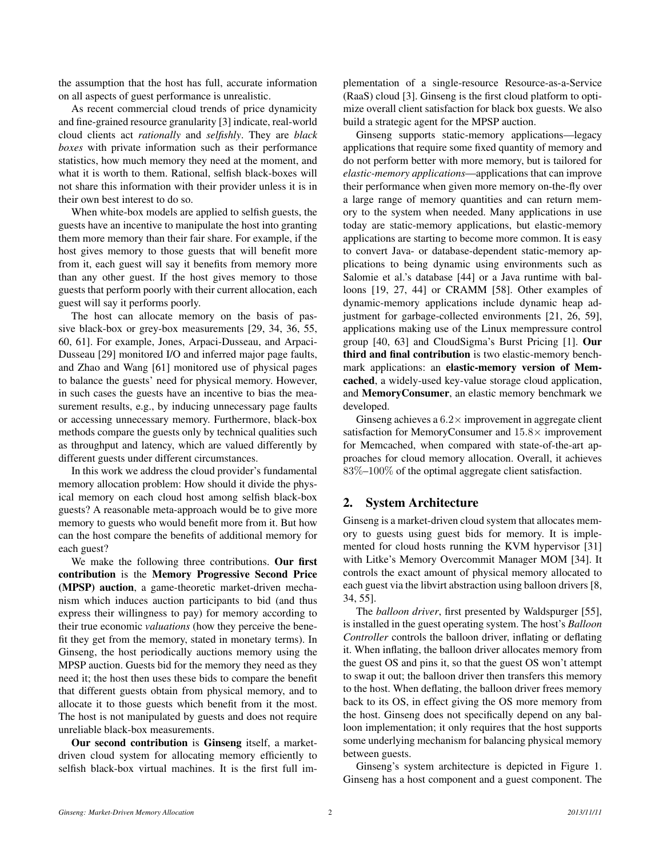the assumption that the host has full, accurate information on all aspects of guest performance is unrealistic.

As recent commercial cloud trends of price dynamicity and fine-grained resource granularity [3] indicate, real-world cloud clients act *rationally* and *selfishly*. They are *black boxes* with private information such as their performance statistics, how much memory they need at the moment, and what it is worth to them. Rational, selfish black-boxes will not share this information with their provider unless it is in their own best interest to do so.

When white-box models are applied to selfish guests, the guests have an incentive to manipulate the host into granting them more memory than their fair share. For example, if the host gives memory to those guests that will benefit more from it, each guest will say it benefits from memory more than any other guest. If the host gives memory to those guests that perform poorly with their current allocation, each guest will say it performs poorly.

The host can allocate memory on the basis of passive black-box or grey-box measurements [29, 34, 36, 55, 60, 61]. For example, Jones, Arpaci-Dusseau, and Arpaci-Dusseau [29] monitored I/O and inferred major page faults, and Zhao and Wang [61] monitored use of physical pages to balance the guests' need for physical memory. However, in such cases the guests have an incentive to bias the measurement results, e.g., by inducing unnecessary page faults or accessing unnecessary memory. Furthermore, black-box methods compare the guests only by technical qualities such as throughput and latency, which are valued differently by different guests under different circumstances.

In this work we address the cloud provider's fundamental memory allocation problem: How should it divide the physical memory on each cloud host among selfish black-box guests? A reasonable meta-approach would be to give more memory to guests who would benefit more from it. But how can the host compare the benefits of additional memory for each guest?

We make the following three contributions. Our first contribution is the Memory Progressive Second Price (MPSP) auction, a game-theoretic market-driven mechanism which induces auction participants to bid (and thus express their willingness to pay) for memory according to their true economic *valuations* (how they perceive the benefit they get from the memory, stated in monetary terms). In Ginseng, the host periodically auctions memory using the MPSP auction. Guests bid for the memory they need as they need it; the host then uses these bids to compare the benefit that different guests obtain from physical memory, and to allocate it to those guests which benefit from it the most. The host is not manipulated by guests and does not require unreliable black-box measurements.

Our second contribution is Ginseng itself, a marketdriven cloud system for allocating memory efficiently to selfish black-box virtual machines. It is the first full implementation of a single-resource Resource-as-a-Service (RaaS) cloud [3]. Ginseng is the first cloud platform to optimize overall client satisfaction for black box guests. We also build a strategic agent for the MPSP auction.

Ginseng supports static-memory applications—legacy applications that require some fixed quantity of memory and do not perform better with more memory, but is tailored for *elastic-memory applications*—applications that can improve their performance when given more memory on-the-fly over a large range of memory quantities and can return memory to the system when needed. Many applications in use today are static-memory applications, but elastic-memory applications are starting to become more common. It is easy to convert Java- or database-dependent static-memory applications to being dynamic using environments such as Salomie et al.'s database [44] or a Java runtime with balloons [19, 27, 44] or CRAMM [58]. Other examples of dynamic-memory applications include dynamic heap adjustment for garbage-collected environments [21, 26, 59], applications making use of the Linux mempressure control group [40, 63] and CloudSigma's Burst Pricing [1]. Our third and final contribution is two elastic-memory benchmark applications: an elastic-memory version of Memcached, a widely-used key-value storage cloud application, and MemoryConsumer, an elastic memory benchmark we developed.

Ginseng achieves a 6*.*2*×* improvement in aggregate client satisfaction for MemoryConsumer and 15*.*8*×* improvement for Memcached, when compared with state-of-the-art approaches for cloud memory allocation. Overall, it achieves 83%–100% of the optimal aggregate client satisfaction.

# 2. System Architecture

Ginseng is a market-driven cloud system that allocates memory to guests using guest bids for memory. It is implemented for cloud hosts running the KVM hypervisor [31] with Litke's Memory Overcommit Manager MOM [34]. It controls the exact amount of physical memory allocated to each guest via the libvirt abstraction using balloon drivers [8, 34, 55].

The *balloon driver*, first presented by Waldspurger [55], is installed in the guest operating system. The host's *Balloon Controller* controls the balloon driver, inflating or deflating it. When inflating, the balloon driver allocates memory from the guest OS and pins it, so that the guest OS won't attempt to swap it out; the balloon driver then transfers this memory to the host. When deflating, the balloon driver frees memory back to its OS, in effect giving the OS more memory from the host. Ginseng does not specifically depend on any balloon implementation; it only requires that the host supports some underlying mechanism for balancing physical memory between guests.

Ginseng's system architecture is depicted in Figure 1. Ginseng has a host component and a guest component. The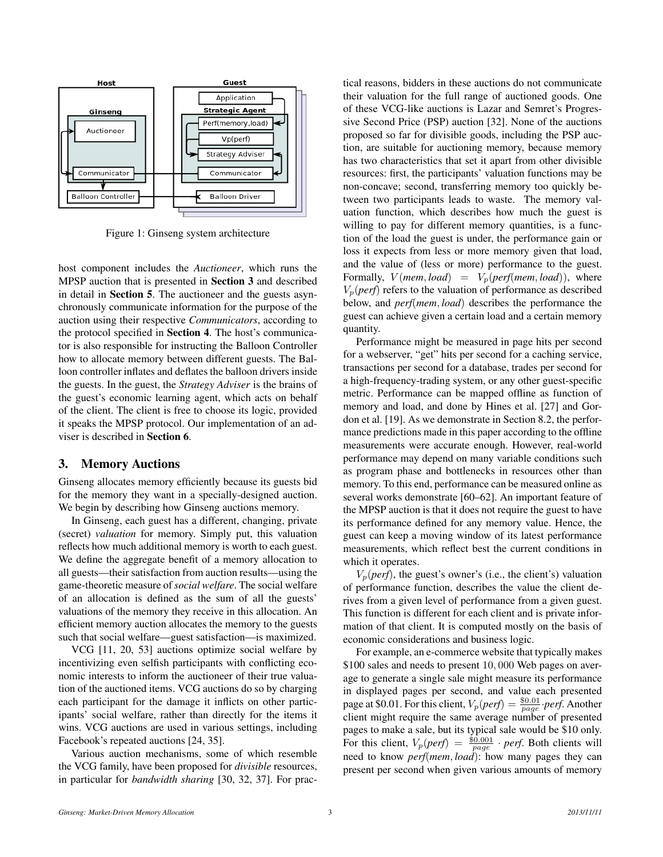

Figure 1: Ginseng system architecture

host component includes the *Auctioneer*, which runs the MPSP auction that is presented in Section 3 and described in detail in Section 5. The auctioneer and the guests asynchronously communicate information for the purpose of the auction using their respective *Communicators*, according to the protocol specified in Section 4. The host's communicator is also responsible for instructing the Balloon Controller how to allocate memory between different guests. The Balloon controller inflates and deflates the balloon drivers inside the guests. In the guest, the *Strategy Adviser* is the brains of the guest's economic learning agent, which acts on behalf of the client. The client is free to choose its logic, provided it speaks the MPSP protocol. Our implementation of an adviser is described in Section 6.

## 3. Memory Auctions

Ginseng allocates memory efficiently because its guests bid for the memory they want in a specially-designed auction. We begin by describing how Ginseng auctions memory.

In Ginseng, each guest has a different, changing, private (secret) *valuation* for memory. Simply put, this valuation reflects how much additional memory is worth to each guest. We define the aggregate benefit of a memory allocation to all guests—their satisfaction from auction results—using the game-theoretic measure of *social welfare*. The social welfare of an allocation is defined as the sum of all the guests' valuations of the memory they receive in this allocation. An efficient memory auction allocates the memory to the guests such that social welfare—guest satisfaction—is maximized.

VCG [11, 20, 53] auctions optimize social welfare by incentivizing even selfish participants with conflicting economic interests to inform the auctioneer of their true valuation of the auctioned items. VCG auctions do so by charging each participant for the damage it inflicts on other participants' social welfare, rather than directly for the items it wins. VCG auctions are used in various settings, including Facebook's repeated auctions [24, 35].

Various auction mechanisms, some of which resemble the VCG family, have been proposed for *divisible* resources, in particular for *bandwidth sharing* [30, 32, 37]. For practical reasons, bidders in these auctions do not communicate their valuation for the full range of auctioned goods. One of these VCG-like auctions is Lazar and Semret's Progressive Second Price (PSP) auction [32]. None of the auctions proposed so far for divisible goods, including the PSP auction, are suitable for auctioning memory, because memory has two characteristics that set it apart from other divisible resources: first, the participants' valuation functions may be non-concave; second, transferring memory too quickly between two participants leads to waste. The memory valuation function, which describes how much the guest is willing to pay for different memory quantities, is a function of the load the guest is under, the performance gain or loss it expects from less or more memory given that load, and the value of (less or more) performance to the guest. Formally,  $V$ (*mem, load*) =  $V_p$ (*perf*(*mem, load*)), where  $V_p(\text{perf})$  refers to the valuation of performance as described below, and *perf*(*mem, load*) describes the performance the guest can achieve given a certain load and a certain memory quantity.

Performance might be measured in page hits per second for a webserver, "get" hits per second for a caching service, transactions per second for a database, trades per second for a high-frequency-trading system, or any other guest-specific metric. Performance can be mapped offline as function of memory and load, and done by Hines et al. [27] and Gordon et al. [19]. As we demonstrate in Section 8.2, the performance predictions made in this paper according to the offline measurements were accurate enough. However, real-world performance may depend on many variable conditions such as program phase and bottlenecks in resources other than memory. To this end, performance can be measured online as several works demonstrate [60–62]. An important feature of the MPSP auction is that it does not require the guest to have its performance defined for any memory value. Hence, the guest can keep a moving window of its latest performance measurements, which reflect best the current conditions in which it operates.

 $V_p(perf)$ , the guest's owner's (i.e., the client's) valuation of performance function, describes the value the client derives from a given level of performance from a given guest. This function is different for each client and is private information of that client. It is computed mostly on the basis of economic considerations and business logic.

For example, an e-commerce website that typically makes \$100 sales and needs to present 10*,* 000 Web pages on average to generate a single sale might measure its performance in displayed pages per second, and value each presented page at \$0.01. For this client,  $V_p(perf) = \frac{\$0.01}{page} \cdot perf$ . Another client might require the same average number of presented pages to make a sale, but its typical sale would be \$10 only. For this client,  $V_p(perf) = \frac{\$0.001}{page} \cdot perf$ . Both clients will need to know *perf*(*mem, load*): how many pages they can present per second when given various amounts of memory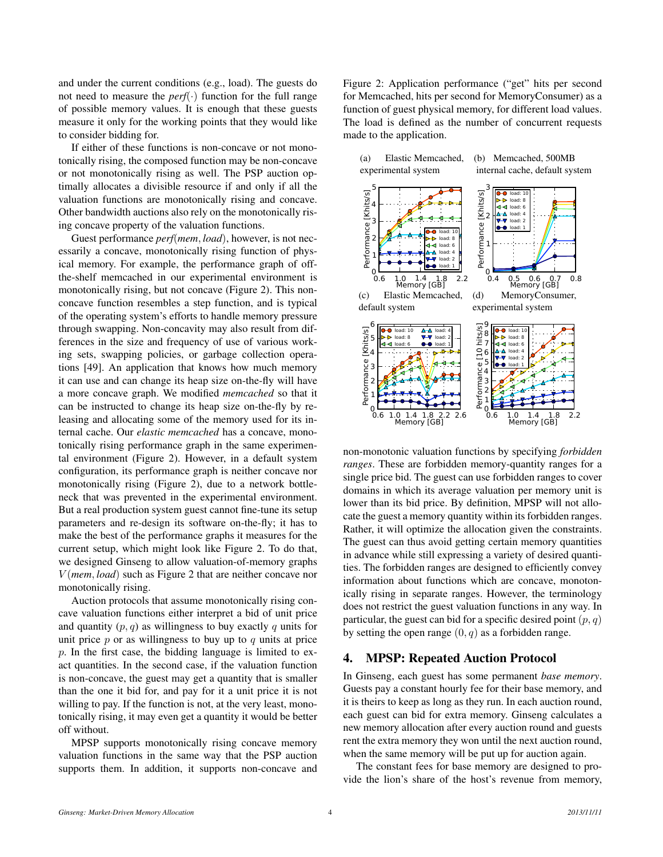and under the current conditions (e.g., load). The guests do not need to measure the *perf* $(\cdot)$  function for the full range of possible memory values. It is enough that these guests measure it only for the working points that they would like to consider bidding for.

If either of these functions is non-concave or not monotonically rising, the composed function may be non-concave or not monotonically rising as well. The PSP auction optimally allocates a divisible resource if and only if all the valuation functions are monotonically rising and concave. Other bandwidth auctions also rely on the monotonically rising concave property of the valuation functions.

Guest performance *perf*(*mem, load*), however, is not necessarily a concave, monotonically rising function of physical memory. For example, the performance graph of offthe-shelf memcached in our experimental environment is monotonically rising, but not concave (Figure 2). This nonconcave function resembles a step function, and is typical of the operating system's efforts to handle memory pressure through swapping. Non-concavity may also result from differences in the size and frequency of use of various working sets, swapping policies, or garbage collection operations [49]. An application that knows how much memory it can use and can change its heap size on-the-fly will have a more concave graph. We modified *memcached* so that it can be instructed to change its heap size on-the-fly by releasing and allocating some of the memory used for its internal cache. Our *elastic memcached* has a concave, monotonically rising performance graph in the same experimental environment (Figure 2). However, in a default system configuration, its performance graph is neither concave nor monotonically rising (Figure 2), due to a network bottleneck that was prevented in the experimental environment. But a real production system guest cannot fine-tune its setup parameters and re-design its software on-the-fly; it has to make the best of the performance graphs it measures for the current setup, which might look like Figure 2. To do that, we designed Ginseng to allow valuation-of-memory graphs *V* (*mem, load*) such as Figure 2 that are neither concave nor monotonically rising.

Auction protocols that assume monotonically rising concave valuation functions either interpret a bid of unit price and quantity (*p, q*) as willingness to buy exactly *q* units for unit price *p* or as willingness to buy up to *q* units at price *p*. In the first case, the bidding language is limited to exact quantities. In the second case, if the valuation function is non-concave, the guest may get a quantity that is smaller than the one it bid for, and pay for it a unit price it is not willing to pay. If the function is not, at the very least, monotonically rising, it may even get a quantity it would be better off without.

MPSP supports monotonically rising concave memory valuation functions in the same way that the PSP auction supports them. In addition, it supports non-concave and Figure 2: Application performance ("get" hits per second for Memcached, hits per second for MemoryConsumer) as a function of guest physical memory, for different load values. The load is defined as the number of concurrent requests made to the application.



non-monotonic valuation functions by specifying *forbidden ranges*. These are forbidden memory-quantity ranges for a single price bid. The guest can use forbidden ranges to cover domains in which its average valuation per memory unit is lower than its bid price. By definition, MPSP will not allocate the guest a memory quantity within its forbidden ranges. Rather, it will optimize the allocation given the constraints. The guest can thus avoid getting certain memory quantities in advance while still expressing a variety of desired quantities. The forbidden ranges are designed to efficiently convey information about functions which are concave, monotonically rising in separate ranges. However, the terminology does not restrict the guest valuation functions in any way. In particular, the guest can bid for a specific desired point  $(p, q)$ by setting the open range  $(0, q)$  as a forbidden range.

# 4. MPSP: Repeated Auction Protocol

In Ginseng, each guest has some permanent *base memory*. Guests pay a constant hourly fee for their base memory, and it is theirs to keep as long as they run. In each auction round, each guest can bid for extra memory. Ginseng calculates a new memory allocation after every auction round and guests rent the extra memory they won until the next auction round, when the same memory will be put up for auction again.

The constant fees for base memory are designed to provide the lion's share of the host's revenue from memory,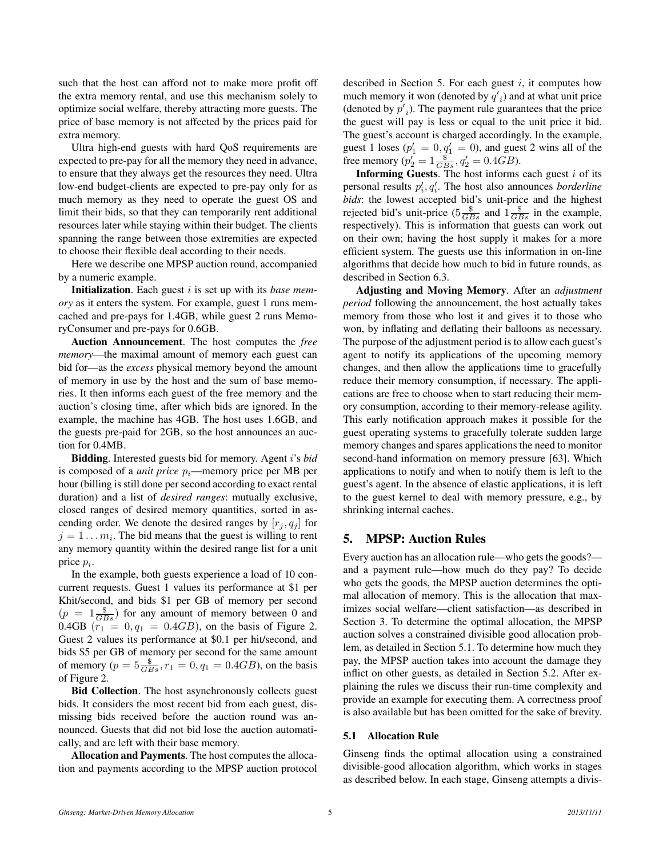such that the host can afford not to make more profit off the extra memory rental, and use this mechanism solely to optimize social welfare, thereby attracting more guests. The price of base memory is not affected by the prices paid for extra memory.

Ultra high-end guests with hard QoS requirements are expected to pre-pay for all the memory they need in advance, to ensure that they always get the resources they need. Ultra low-end budget-clients are expected to pre-pay only for as much memory as they need to operate the guest OS and limit their bids, so that they can temporarily rent additional resources later while staying within their budget. The clients spanning the range between those extremities are expected to choose their flexible deal according to their needs.

Here we describe one MPSP auction round, accompanied by a numeric example.

Initialization. Each guest *i* is set up with its *base memory* as it enters the system. For example, guest 1 runs memcached and pre-pays for 1.4GB, while guest 2 runs MemoryConsumer and pre-pays for 0.6GB.

Auction Announcement. The host computes the *free memory*—the maximal amount of memory each guest can bid for—as the *excess* physical memory beyond the amount of memory in use by the host and the sum of base memories. It then informs each guest of the free memory and the auction's closing time, after which bids are ignored. In the example, the machine has 4GB. The host uses 1.6GB, and the guests pre-paid for 2GB, so the host announces an auction for 0.4MB.

Bidding. Interested guests bid for memory. Agent *i*'s *bid* is composed of a *unit price pi*—memory price per MB per hour (billing is still done per second according to exact rental duration) and a list of *desired ranges*: mutually exclusive, closed ranges of desired memory quantities, sorted in ascending order. We denote the desired ranges by  $[r_j, q_j]$  for  $j = 1 \dots m_i$ . The bid means that the guest is willing to rent any memory quantity within the desired range list for a unit price *p<sup>i</sup>* .

In the example, both guests experience a load of 10 concurrent requests. Guest 1 values its performance at \$1 per Khit/second, and bids \$1 per GB of memory per second  $(p = 1\frac{\$}{GBs})$  for any amount of memory between 0 and 0.4GB  $(r_1 = 0, q_1 = 0.4GB)$ , on the basis of Figure 2. Guest 2 values its performance at \$0.1 per hit/second, and bids \$5 per GB of memory per second for the same amount of memory ( $p = 5\frac{\$}{GBs}$ ,  $r_1 = 0$ ,  $q_1 = 0.4GB$ ), on the basis of Figure 2.

Bid Collection. The host asynchronously collects guest bids. It considers the most recent bid from each guest, dismissing bids received before the auction round was announced. Guests that did not bid lose the auction automatically, and are left with their base memory.

Allocation and Payments. The host computes the allocation and payments according to the MPSP auction protocol described in Section 5. For each guest *i*, it computes how much memory it won (denoted by  $q'_{i}$ ) and at what unit price (denoted by  $p'$ <sub>i</sub>). The payment rule guarantees that the price the guest will pay is less or equal to the unit price it bid. The guest's account is charged accordingly. In the example, guest 1 loses ( $p'_1 = 0, q'_1 = 0$ ), and guest 2 wins all of the free memory ( $p_2' = 1 \frac{\$}{GBs}$ ,  $q_2' = 0.4GB$ ).

Informing Guests. The host informs each guest *i* of its personal results  $p'_{i}, q'_{i}$ . The host also announces *borderline bids*: the lowest accepted bid's unit-price and the highest rejected bid's unit-price  $(5\frac{\$}{GBs})$  and  $1\frac{\$}{GBs}$  in the example, respectively). This is information that guests can work out on their own; having the host supply it makes for a more efficient system. The guests use this information in on-line algorithms that decide how much to bid in future rounds, as described in Section 6.3.

Adjusting and Moving Memory. After an *adjustment period* following the announcement, the host actually takes memory from those who lost it and gives it to those who won, by inflating and deflating their balloons as necessary. The purpose of the adjustment period is to allow each guest's agent to notify its applications of the upcoming memory changes, and then allow the applications time to gracefully reduce their memory consumption, if necessary. The applications are free to choose when to start reducing their memory consumption, according to their memory-release agility. This early notification approach makes it possible for the guest operating systems to gracefully tolerate sudden large memory changes and spares applications the need to monitor second-hand information on memory pressure [63]. Which applications to notify and when to notify them is left to the guest's agent. In the absence of elastic applications, it is left to the guest kernel to deal with memory pressure, e.g., by shrinking internal caches.

# 5. MPSP: Auction Rules

Every auction has an allocation rule—who gets the goods? and a payment rule—how much do they pay? To decide who gets the goods, the MPSP auction determines the optimal allocation of memory. This is the allocation that maximizes social welfare—client satisfaction—as described in Section 3. To determine the optimal allocation, the MPSP auction solves a constrained divisible good allocation problem, as detailed in Section 5.1. To determine how much they pay, the MPSP auction takes into account the damage they inflict on other guests, as detailed in Section 5.2. After explaining the rules we discuss their run-time complexity and provide an example for executing them. A correctness proof is also available but has been omitted for the sake of brevity.

#### 5.1 Allocation Rule

Ginseng finds the optimal allocation using a constrained divisible-good allocation algorithm, which works in stages as described below. In each stage, Ginseng attempts a divis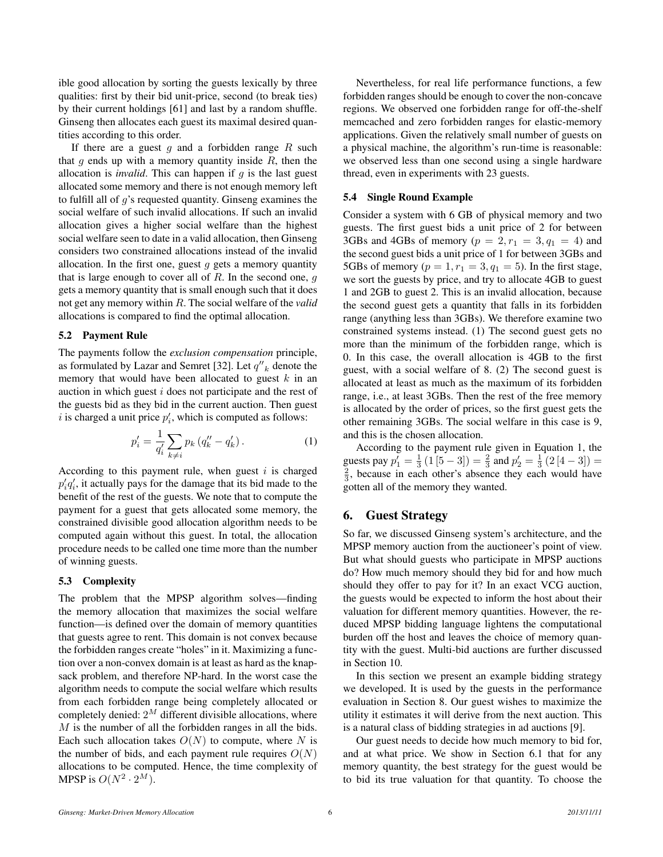ible good allocation by sorting the guests lexically by three qualities: first by their bid unit-price, second (to break ties) by their current holdings [61] and last by a random shuffle. Ginseng then allocates each guest its maximal desired quantities according to this order.

If there are a guest *g* and a forbidden range *R* such that *g* ends up with a memory quantity inside *R*, then the allocation is *invalid*. This can happen if *g* is the last guest allocated some memory and there is not enough memory left to fulfill all of *g*'s requested quantity. Ginseng examines the social welfare of such invalid allocations. If such an invalid allocation gives a higher social welfare than the highest social welfare seen to date in a valid allocation, then Ginseng considers two constrained allocations instead of the invalid allocation. In the first one, guest *g* gets a memory quantity that is large enough to cover all of *R*. In the second one, *g* gets a memory quantity that is small enough such that it does not get any memory within *R*. The social welfare of the *valid* allocations is compared to find the optimal allocation.

#### 5.2 Payment Rule

The payments follow the *exclusion compensation* principle, as formulated by Lazar and Semret [32]. Let  $q''_k$  denote the memory that would have been allocated to guest *k* in an auction in which guest *i* does not participate and the rest of the guests bid as they bid in the current auction. Then guest *i* is charged a unit price  $p'_i$ , which is computed as follows:

$$
p_i' = \frac{1}{q_i'} \sum_{k \neq i} p_k (q_k'' - q_k').
$$
 (1)

According to this payment rule, when guest *i* is charged  $p'_{i}q'_{i}$ , it actually pays for the damage that its bid made to the benefit of the rest of the guests. We note that to compute the payment for a guest that gets allocated some memory, the constrained divisible good allocation algorithm needs to be computed again without this guest. In total, the allocation procedure needs to be called one time more than the number of winning guests.

### 5.3 Complexity

The problem that the MPSP algorithm solves—finding the memory allocation that maximizes the social welfare function—is defined over the domain of memory quantities that guests agree to rent. This domain is not convex because the forbidden ranges create "holes" in it. Maximizing a function over a non-convex domain is at least as hard as the knapsack problem, and therefore NP-hard. In the worst case the algorithm needs to compute the social welfare which results from each forbidden range being completely allocated or completely denied: 2*<sup>M</sup>* different divisible allocations, where *M* is the number of all the forbidden ranges in all the bids. Each such allocation takes  $O(N)$  to compute, where *N* is the number of bids, and each payment rule requires  $O(N)$ allocations to be computed. Hence, the time complexity of MPSP is  $O(N^2 \cdot 2^M)$ .

Nevertheless, for real life performance functions, a few forbidden ranges should be enough to cover the non-concave regions. We observed one forbidden range for off-the-shelf memcached and zero forbidden ranges for elastic-memory applications. Given the relatively small number of guests on a physical machine, the algorithm's run-time is reasonable: we observed less than one second using a single hardware thread, even in experiments with 23 guests.

#### 5.4 Single Round Example

Consider a system with 6 GB of physical memory and two guests. The first guest bids a unit price of 2 for between 3GBs and 4GBs of memory ( $p = 2, r_1 = 3, q_1 = 4$ ) and the second guest bids a unit price of 1 for between 3GBs and 5GBs of memory ( $p = 1, r_1 = 3, q_1 = 5$ ). In the first stage, we sort the guests by price, and try to allocate 4GB to guest 1 and 2GB to guest 2. This is an invalid allocation, because the second guest gets a quantity that falls in its forbidden range (anything less than 3GBs). We therefore examine two constrained systems instead. (1) The second guest gets no more than the minimum of the forbidden range, which is 0. In this case, the overall allocation is 4GB to the first guest, with a social welfare of 8. (2) The second guest is allocated at least as much as the maximum of its forbidden range, i.e., at least 3GBs. Then the rest of the free memory is allocated by the order of prices, so the first guest gets the other remaining 3GBs. The social welfare in this case is 9, and this is the chosen allocation.

According to the payment rule given in Equation 1, the guests pay  $p'_1 = \frac{1}{3}(1[5-3]) = \frac{2}{3}$  and  $p'_2 = \frac{1}{3}(2[4-3]) =$  $\frac{2}{3}$ , because in each other's absence they each would have gotten all of the memory they wanted.

# 6. Guest Strategy

So far, we discussed Ginseng system's architecture, and the MPSP memory auction from the auctioneer's point of view. But what should guests who participate in MPSP auctions do? How much memory should they bid for and how much should they offer to pay for it? In an exact VCG auction, the guests would be expected to inform the host about their valuation for different memory quantities. However, the reduced MPSP bidding language lightens the computational burden off the host and leaves the choice of memory quantity with the guest. Multi-bid auctions are further discussed in Section 10.

In this section we present an example bidding strategy we developed. It is used by the guests in the performance evaluation in Section 8. Our guest wishes to maximize the utility it estimates it will derive from the next auction. This is a natural class of bidding strategies in ad auctions [9].

Our guest needs to decide how much memory to bid for, and at what price. We show in Section 6.1 that for any memory quantity, the best strategy for the guest would be to bid its true valuation for that quantity. To choose the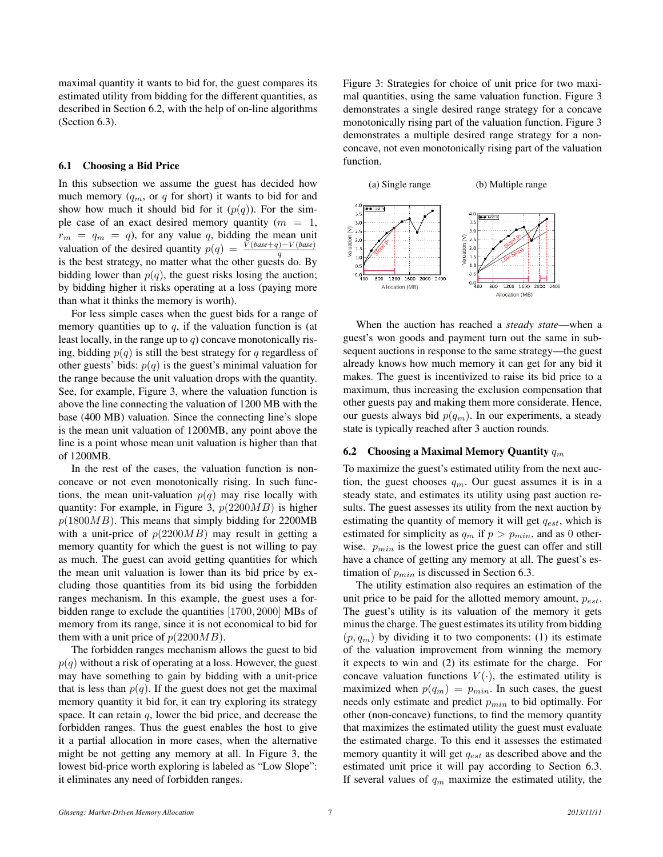maximal quantity it wants to bid for, the guest compares its estimated utility from bidding for the different quantities, as described in Section 6.2, with the help of on-line algorithms (Section 6.3).

#### 6.1 Choosing a Bid Price

In this subsection we assume the guest has decided how much memory  $(q_m, \text{ or } q \text{ for short})$  it wants to bid for and show how much it should bid for it  $(p(q))$ . For the simple case of an exact desired memory quantity (*m* = 1,  $r_m = q_m = q$ , for any value q, bidding the mean unit valuation of the desired quantity  $p(q) = \frac{V(base+q)-V(base)}{q}$ is the best strategy, no matter what the other guests do. By bidding lower than  $p(q)$ , the guest risks losing the auction; by bidding higher it risks operating at a loss (paying more than what it thinks the memory is worth).

For less simple cases when the guest bids for a range of memory quantities up to  $q$ , if the valuation function is (at least locally, in the range up to *q*) concave monotonically rising, bidding  $p(q)$  is still the best strategy for *q* regardless of other guests' bids:  $p(q)$  is the guest's minimal valuation for the range because the unit valuation drops with the quantity. See, for example, Figure 3, where the valuation function is above the line connecting the valuation of 1200 MB with the base (400 MB) valuation. Since the connecting line's slope is the mean unit valuation of 1200MB, any point above the line is a point whose mean unit valuation is higher than that of 1200MB.

In the rest of the cases, the valuation function is nonconcave or not even monotonically rising. In such functions, the mean unit-valuation  $p(q)$  may rise locally with quantity: For example, in Figure 3, *p*(2200*MB*) is higher *p*(1800*MB*). This means that simply bidding for 2200MB with a unit-price of *p*(2200*MB*) may result in getting a memory quantity for which the guest is not willing to pay as much. The guest can avoid getting quantities for which the mean unit valuation is lower than its bid price by excluding those quantities from its bid using the forbidden ranges mechanism. In this example, the guest uses a forbidden range to exclude the quantities [1700*,* 2000] MBs of memory from its range, since it is not economical to bid for them with a unit price of  $p(2200MB)$ .

The forbidden ranges mechanism allows the guest to bid  $p(q)$  without a risk of operating at a loss. However, the guest may have something to gain by bidding with a unit-price that is less than  $p(q)$ . If the guest does not get the maximal memory quantity it bid for, it can try exploring its strategy space. It can retain *q*, lower the bid price, and decrease the forbidden ranges. Thus the guest enables the host to give it a partial allocation in more cases, when the alternative might be not getting any memory at all. In Figure 3, the lowest bid-price worth exploring is labeled as "Low Slope": it eliminates any need of forbidden ranges.

Figure 3: Strategies for choice of unit price for two maximal quantities, using the same valuation function. Figure 3 demonstrates a single desired range strategy for a concave monotonically rising part of the valuation function. Figure 3 demonstrates a multiple desired range strategy for a nonconcave, not even monotonically rising part of the valuation function.



When the auction has reached a *steady state*—when a guest's won goods and payment turn out the same in subsequent auctions in response to the same strategy—the guest already knows how much memory it can get for any bid it makes. The guest is incentivized to raise its bid price to a maximum, thus increasing the exclusion compensation that other guests pay and making them more considerate. Hence, our guests always bid  $p(q_m)$ . In our experiments, a steady state is typically reached after 3 auction rounds.

#### 6.2 Choosing a Maximal Memory Quantity *q<sup>m</sup>*

To maximize the guest's estimated utility from the next auction, the guest chooses  $q_m$ . Our guest assumes it is in a steady state, and estimates its utility using past auction results. The guest assesses its utility from the next auction by estimating the quantity of memory it will get *qest*, which is estimated for simplicity as  $q_m$  if  $p > p_{min}$ , and as 0 otherwise. *pmin* is the lowest price the guest can offer and still have a chance of getting any memory at all. The guest's estimation of *pmin* is discussed in Section 6.3.

The utility estimation also requires an estimation of the unit price to be paid for the allotted memory amount, *pest*. The guest's utility is its valuation of the memory it gets minus the charge. The guest estimates its utility from bidding  $(p, q<sub>m</sub>)$  by dividing it to two components: (1) its estimate of the valuation improvement from winning the memory it expects to win and (2) its estimate for the charge. For concave valuation functions  $V(\cdot)$ , the estimated utility is maximized when  $p(q_m) = p_{min}$ . In such cases, the guest needs only estimate and predict *pmin* to bid optimally. For other (non-concave) functions, to find the memory quantity that maximizes the estimated utility the guest must evaluate the estimated charge. To this end it assesses the estimated memory quantity it will get *qest* as described above and the estimated unit price it will pay according to Section 6.3. If several values of *q<sup>m</sup>* maximize the estimated utility, the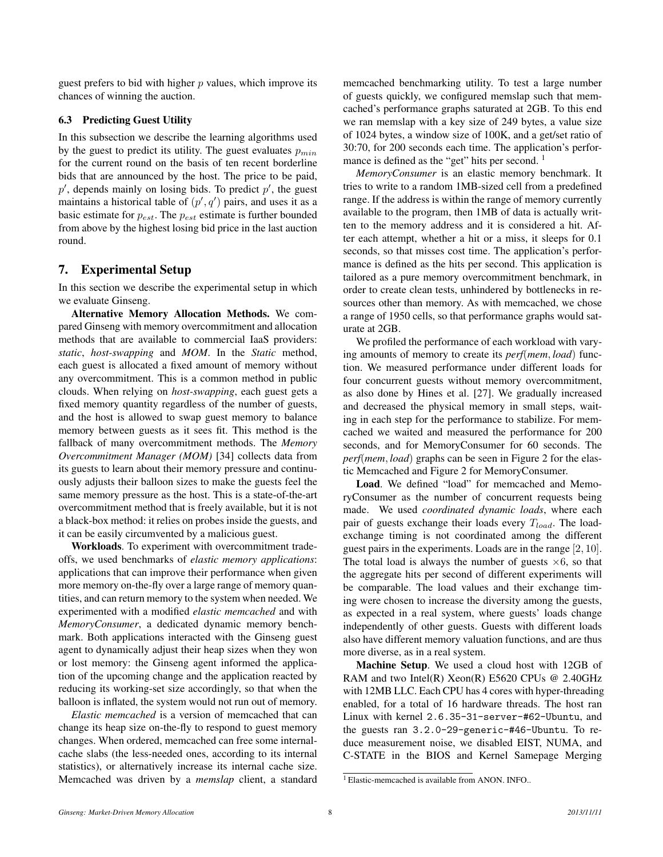guest prefers to bid with higher *p* values, which improve its chances of winning the auction.

# 6.3 Predicting Guest Utility

In this subsection we describe the learning algorithms used by the guest to predict its utility. The guest evaluates *pmin* for the current round on the basis of ten recent borderline bids that are announced by the host. The price to be paid,  $p'$ , depends mainly on losing bids. To predict  $p'$ , the guest maintains a historical table of  $(p', q')$  pairs, and uses it as a basic estimate for *pest*. The *pest* estimate is further bounded from above by the highest losing bid price in the last auction round.

# 7. Experimental Setup

In this section we describe the experimental setup in which we evaluate Ginseng.

Alternative Memory Allocation Methods. We compared Ginseng with memory overcommitment and allocation methods that are available to commercial IaaS providers: *static*, *host-swapping* and *MOM*. In the *Static* method, each guest is allocated a fixed amount of memory without any overcommitment. This is a common method in public clouds. When relying on *host-swapping*, each guest gets a fixed memory quantity regardless of the number of guests, and the host is allowed to swap guest memory to balance memory between guests as it sees fit. This method is the fallback of many overcommitment methods. The *Memory Overcommitment Manager (MOM)* [34] collects data from its guests to learn about their memory pressure and continuously adjusts their balloon sizes to make the guests feel the same memory pressure as the host. This is a state-of-the-art overcommitment method that is freely available, but it is not a black-box method: it relies on probes inside the guests, and it can be easily circumvented by a malicious guest.

Workloads. To experiment with overcommitment tradeoffs, we used benchmarks of *elastic memory applications*: applications that can improve their performance when given more memory on-the-fly over a large range of memory quantities, and can return memory to the system when needed. We experimented with a modified *elastic memcached* and with *MemoryConsumer*, a dedicated dynamic memory benchmark. Both applications interacted with the Ginseng guest agent to dynamically adjust their heap sizes when they won or lost memory: the Ginseng agent informed the application of the upcoming change and the application reacted by reducing its working-set size accordingly, so that when the balloon is inflated, the system would not run out of memory.

*Elastic memcached* is a version of memcached that can change its heap size on-the-fly to respond to guest memory changes. When ordered, memcached can free some internalcache slabs (the less-needed ones, according to its internal statistics), or alternatively increase its internal cache size. Memcached was driven by a *memslap* client, a standard memcached benchmarking utility. To test a large number of guests quickly, we configured memslap such that memcached's performance graphs saturated at 2GB. To this end we ran memslap with a key size of 249 bytes, a value size of 1024 bytes, a window size of 100K, and a get/set ratio of 30:70, for 200 seconds each time. The application's performance is defined as the "get" hits per second.<sup>1</sup>

*MemoryConsumer* is an elastic memory benchmark. It tries to write to a random 1MB-sized cell from a predefined range. If the address is within the range of memory currently available to the program, then 1MB of data is actually written to the memory address and it is considered a hit. After each attempt, whether a hit or a miss, it sleeps for 0.1 seconds, so that misses cost time. The application's performance is defined as the hits per second. This application is tailored as a pure memory overcommitment benchmark, in order to create clean tests, unhindered by bottlenecks in resources other than memory. As with memcached, we chose a range of 1950 cells, so that performance graphs would saturate at 2GB.

We profiled the performance of each workload with varying amounts of memory to create its *perf*(*mem, load*) function. We measured performance under different loads for four concurrent guests without memory overcommitment, as also done by Hines et al. [27]. We gradually increased and decreased the physical memory in small steps, waiting in each step for the performance to stabilize. For memcached we waited and measured the performance for 200 seconds, and for MemoryConsumer for 60 seconds. The *perf*(*mem, load*) graphs can be seen in Figure 2 for the elastic Memcached and Figure 2 for MemoryConsumer.

Load. We defined "load" for memcached and MemoryConsumer as the number of concurrent requests being made. We used *coordinated dynamic loads*, where each pair of guests exchange their loads every *Tload*. The loadexchange timing is not coordinated among the different guest pairs in the experiments. Loads are in the range [2*,* 10]. The total load is always the number of guests *×*6, so that the aggregate hits per second of different experiments will be comparable. The load values and their exchange timing were chosen to increase the diversity among the guests, as expected in a real system, where guests' loads change independently of other guests. Guests with different loads also have different memory valuation functions, and are thus more diverse, as in a real system.

Machine Setup. We used a cloud host with 12GB of RAM and two Intel(R) Xeon(R) E5620 CPUs @ 2.40GHz with 12MB LLC. Each CPU has 4 cores with hyper-threading enabled, for a total of 16 hardware threads. The host ran Linux with kernel 2.6.35-31-server-#62-Ubuntu, and the guests ran 3.2.0-29-generic-#46-Ubuntu. To reduce measurement noise, we disabled EIST, NUMA, and C-STATE in the BIOS and Kernel Samepage Merging

<sup>&</sup>lt;sup>1</sup> Elastic-memcached is available from ANON. INFO..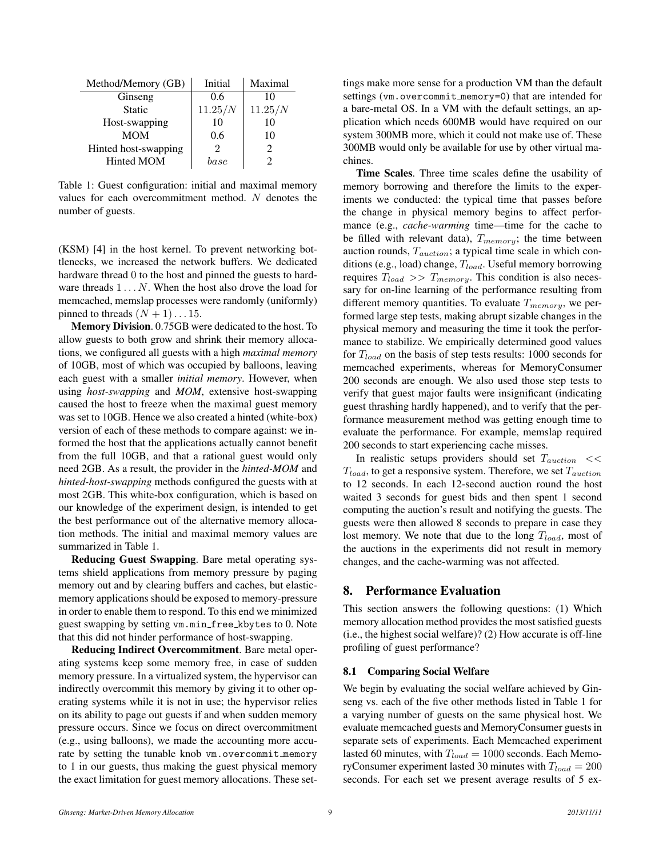| Method/Memory (GB)   | Initial   | Maximal                     |
|----------------------|-----------|-----------------------------|
| Ginseng              | 0.6       | 10                          |
| <b>Static</b>        | 11.25/N   | 11.25/N                     |
| Host-swapping        | 10        | 10                          |
| <b>MOM</b>           | 0.6       | 10                          |
| Hinted host-swapping |           | $\mathcal{D}_{\mathcal{L}}$ |
| <b>Hinted MOM</b>    | $_{base}$ |                             |

Table 1: Guest configuration: initial and maximal memory values for each overcommitment method. *N* denotes the number of guests.

(KSM) [4] in the host kernel. To prevent networking bottlenecks, we increased the network buffers. We dedicated hardware thread 0 to the host and pinned the guests to hardware threads 1 *. . . N*. When the host also drove the load for memcached, memslap processes were randomly (uniformly) pinned to threads  $(N + 1) \ldots 15$ .

Memory Division. 0.75GB were dedicated to the host. To allow guests to both grow and shrink their memory allocations, we configured all guests with a high *maximal memory* of 10GB, most of which was occupied by balloons, leaving each guest with a smaller *initial memory*. However, when using *host-swapping* and *MOM*, extensive host-swapping caused the host to freeze when the maximal guest memory was set to 10GB. Hence we also created a hinted (white-box) version of each of these methods to compare against: we informed the host that the applications actually cannot benefit from the full 10GB, and that a rational guest would only need 2GB. As a result, the provider in the *hinted-MOM* and *hinted-host-swapping* methods configured the guests with at most 2GB. This white-box configuration, which is based on our knowledge of the experiment design, is intended to get the best performance out of the alternative memory allocation methods. The initial and maximal memory values are summarized in Table 1.

Reducing Guest Swapping. Bare metal operating systems shield applications from memory pressure by paging memory out and by clearing buffers and caches, but elasticmemory applications should be exposed to memory-pressure in order to enable them to respond. To this end we minimized guest swapping by setting vm.min free kbytes to 0. Note that this did not hinder performance of host-swapping.

Reducing Indirect Overcommitment. Bare metal operating systems keep some memory free, in case of sudden memory pressure. In a virtualized system, the hypervisor can indirectly overcommit this memory by giving it to other operating systems while it is not in use; the hypervisor relies on its ability to page out guests if and when sudden memory pressure occurs. Since we focus on direct overcommitment (e.g., using balloons), we made the accounting more accurate by setting the tunable knob vm.overcommit memory to 1 in our guests, thus making the guest physical memory the exact limitation for guest memory allocations. These settings make more sense for a production VM than the default settings (vm.overcommit\_memory=0) that are intended for a bare-metal OS. In a VM with the default settings, an application which needs 600MB would have required on our system 300MB more, which it could not make use of. These 300MB would only be available for use by other virtual machines.

Time Scales. Three time scales define the usability of memory borrowing and therefore the limits to the experiments we conducted: the typical time that passes before the change in physical memory begins to affect performance (e.g., *cache-warming* time—time for the cache to be filled with relevant data), *Tmemory*; the time between auction rounds, *Tauction*; a typical time scale in which conditions (e.g., load) change, *Tload*. Useful memory borrowing requires *Tload >> Tmemory*. This condition is also necessary for on-line learning of the performance resulting from different memory quantities. To evaluate *Tmemory*, we performed large step tests, making abrupt sizable changes in the physical memory and measuring the time it took the performance to stabilize. We empirically determined good values for *Tload* on the basis of step tests results: 1000 seconds for memcached experiments, whereas for MemoryConsumer 200 seconds are enough. We also used those step tests to verify that guest major faults were insignificant (indicating guest thrashing hardly happened), and to verify that the performance measurement method was getting enough time to evaluate the performance. For example, memslap required 200 seconds to start experiencing cache misses.

In realistic setups providers should set *Tauction << Tload*, to get a responsive system. Therefore, we set *Tauction* to 12 seconds. In each 12-second auction round the host waited 3 seconds for guest bids and then spent 1 second computing the auction's result and notifying the guests. The guests were then allowed 8 seconds to prepare in case they lost memory. We note that due to the long *Tload*, most of the auctions in the experiments did not result in memory changes, and the cache-warming was not affected.

# 8. Performance Evaluation

This section answers the following questions: (1) Which memory allocation method provides the most satisfied guests (i.e., the highest social welfare)? (2) How accurate is off-line profiling of guest performance?

#### 8.1 Comparing Social Welfare

We begin by evaluating the social welfare achieved by Ginseng vs. each of the five other methods listed in Table 1 for a varying number of guests on the same physical host. We evaluate memcached guests and MemoryConsumer guests in separate sets of experiments. Each Memcached experiment lasted 60 minutes, with  $T_{load} = 1000$  seconds. Each MemoryConsumer experiment lasted 30 minutes with *Tload* = 200 seconds. For each set we present average results of 5 ex-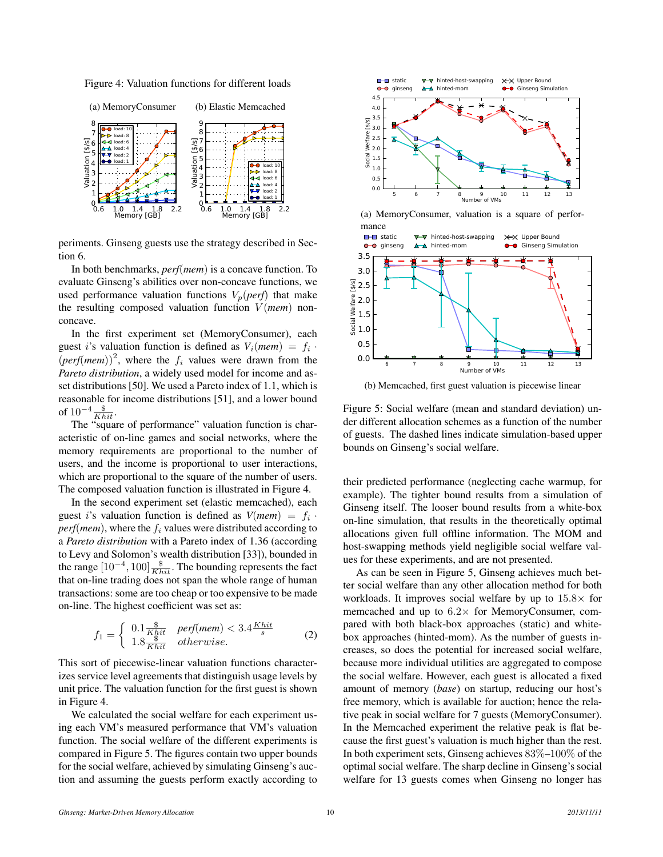Figure 4: Valuation functions for different loads



periments. Ginseng guests use the strategy described in Section 6.

In both benchmarks, *perf*(*mem*) is a concave function. To evaluate Ginseng's abilities over non-concave functions, we used performance valuation functions  $V_p(\text{perf})$  that make the resulting composed valuation function *V* (*mem*) nonconcave.

In the first experiment set (MemoryConsumer), each guest *i*'s valuation function is defined as  $V_i$ (*mem*) =  $f_i$ .  $(\text{perf}(mem))^2$ , where the  $f_i$  values were drawn from the *Pareto distribution*, a widely used model for income and asset distributions [50]. We used a Pareto index of 1.1, which is reasonable for income distributions [51], and a lower bound of  $10^{-4} \frac{\$}{K hit}$ .

The "square of performance" valuation function is characteristic of on-line games and social networks, where the memory requirements are proportional to the number of users, and the income is proportional to user interactions, which are proportional to the square of the number of users. The composed valuation function is illustrated in Figure 4.

In the second experiment set (elastic memcached), each guest *i*'s valuation function is defined as  $V(mem) = f_i$ .  $perf(mem)$ , where the  $f_i$  values were distributed according to a *Pareto distribution* with a Pareto index of 1.36 (according to Levy and Solomon's wealth distribution [33]), bounded in the range  $[10^{-4}, 100] \frac{\$}{K hit}$ . The bounding represents the fact that on-line trading does not span the whole range of human transactions: some are too cheap or too expensive to be made on-line. The highest coefficient was set as:

$$
f_1 = \begin{cases} 0.1 \frac{\$}{Khit} & perf(mem) < 3.4 \frac{Khit}{s} \\ 1.8 \frac{\$}{Khit} & otherwise. \end{cases}
$$
 (2)

This sort of piecewise-linear valuation functions characterizes service level agreements that distinguish usage levels by unit price. The valuation function for the first guest is shown in Figure 4.

We calculated the social welfare for each experiment using each VM's measured performance that VM's valuation function. The social welfare of the different experiments is compared in Figure 5. The figures contain two upper bounds for the social welfare, achieved by simulating Ginseng's auction and assuming the guests perform exactly according to



(a) MemoryConsumer, valuation is a square of performance



(b) Memcached, first guest valuation is piecewise linear

Figure 5: Social welfare (mean and standard deviation) under different allocation schemes as a function of the number of guests. The dashed lines indicate simulation-based upper bounds on Ginseng's social welfare.

their predicted performance (neglecting cache warmup, for example). The tighter bound results from a simulation of Ginseng itself. The looser bound results from a white-box on-line simulation, that results in the theoretically optimal allocations given full offline information. The MOM and host-swapping methods yield negligible social welfare values for these experiments, and are not presented.

As can be seen in Figure 5, Ginseng achieves much better social welfare than any other allocation method for both workloads. It improves social welfare by up to 15*.*8*×* for memcached and up to 6*.*2*×* for MemoryConsumer, compared with both black-box approaches (static) and whitebox approaches (hinted-mom). As the number of guests increases, so does the potential for increased social welfare, because more individual utilities are aggregated to compose the social welfare. However, each guest is allocated a fixed amount of memory (*base*) on startup, reducing our host's free memory, which is available for auction; hence the relative peak in social welfare for 7 guests (MemoryConsumer). In the Memcached experiment the relative peak is flat because the first guest's valuation is much higher than the rest. In both experiment sets, Ginseng achieves 83%–100% of the optimal social welfare. The sharp decline in Ginseng's social welfare for 13 guests comes when Ginseng no longer has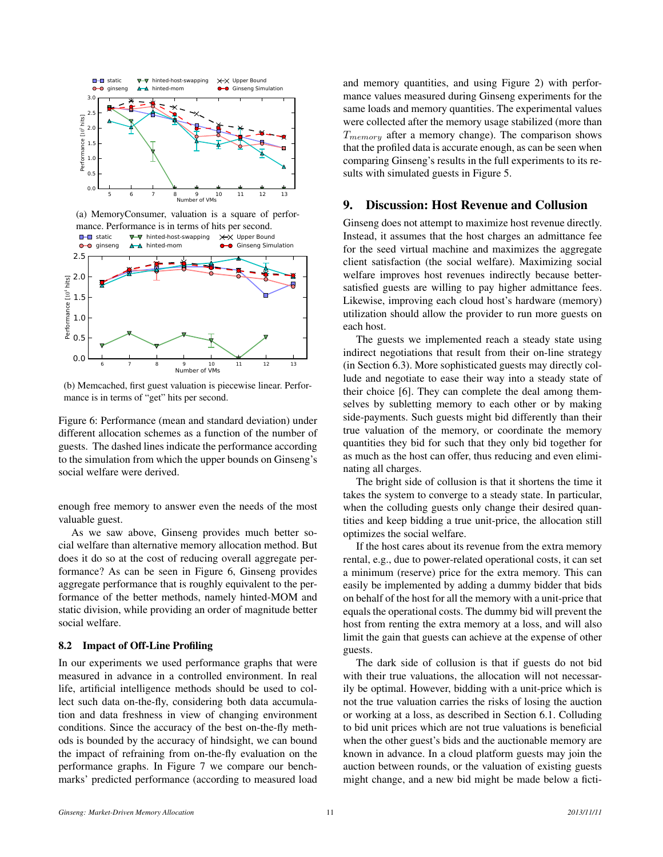

(a) MemoryConsumer, valuation is a square of performance. Performance is in terms of hits per second.



(b) Memcached, first guest valuation is piecewise linear. Performance is in terms of "get" hits per second.

Figure 6: Performance (mean and standard deviation) under different allocation schemes as a function of the number of guests. The dashed lines indicate the performance according to the simulation from which the upper bounds on Ginseng's social welfare were derived.

enough free memory to answer even the needs of the most valuable guest.

As we saw above, Ginseng provides much better social welfare than alternative memory allocation method. But does it do so at the cost of reducing overall aggregate performance? As can be seen in Figure 6, Ginseng provides aggregate performance that is roughly equivalent to the performance of the better methods, namely hinted-MOM and static division, while providing an order of magnitude better social welfare.

#### 8.2 Impact of Off-Line Profiling

In our experiments we used performance graphs that were measured in advance in a controlled environment. In real life, artificial intelligence methods should be used to collect such data on-the-fly, considering both data accumulation and data freshness in view of changing environment conditions. Since the accuracy of the best on-the-fly methods is bounded by the accuracy of hindsight, we can bound the impact of refraining from on-the-fly evaluation on the performance graphs. In Figure 7 we compare our benchmarks' predicted performance (according to measured load and memory quantities, and using Figure 2) with performance values measured during Ginseng experiments for the same loads and memory quantities. The experimental values were collected after the memory usage stabilized (more than *Tmemory* after a memory change). The comparison shows that the profiled data is accurate enough, as can be seen when comparing Ginseng's results in the full experiments to its results with simulated guests in Figure 5.

## 9. Discussion: Host Revenue and Collusion

Ginseng does not attempt to maximize host revenue directly. Instead, it assumes that the host charges an admittance fee for the seed virtual machine and maximizes the aggregate client satisfaction (the social welfare). Maximizing social welfare improves host revenues indirectly because bettersatisfied guests are willing to pay higher admittance fees. Likewise, improving each cloud host's hardware (memory) utilization should allow the provider to run more guests on each host.

The guests we implemented reach a steady state using indirect negotiations that result from their on-line strategy (in Section 6.3). More sophisticated guests may directly collude and negotiate to ease their way into a steady state of their choice [6]. They can complete the deal among themselves by subletting memory to each other or by making side-payments. Such guests might bid differently than their true valuation of the memory, or coordinate the memory quantities they bid for such that they only bid together for as much as the host can offer, thus reducing and even eliminating all charges.

The bright side of collusion is that it shortens the time it takes the system to converge to a steady state. In particular, when the colluding guests only change their desired quantities and keep bidding a true unit-price, the allocation still optimizes the social welfare.

If the host cares about its revenue from the extra memory rental, e.g., due to power-related operational costs, it can set a minimum (reserve) price for the extra memory. This can easily be implemented by adding a dummy bidder that bids on behalf of the host for all the memory with a unit-price that equals the operational costs. The dummy bid will prevent the host from renting the extra memory at a loss, and will also limit the gain that guests can achieve at the expense of other guests.

The dark side of collusion is that if guests do not bid with their true valuations, the allocation will not necessarily be optimal. However, bidding with a unit-price which is not the true valuation carries the risks of losing the auction or working at a loss, as described in Section 6.1. Colluding to bid unit prices which are not true valuations is beneficial when the other guest's bids and the auctionable memory are known in advance. In a cloud platform guests may join the auction between rounds, or the valuation of existing guests might change, and a new bid might be made below a ficti-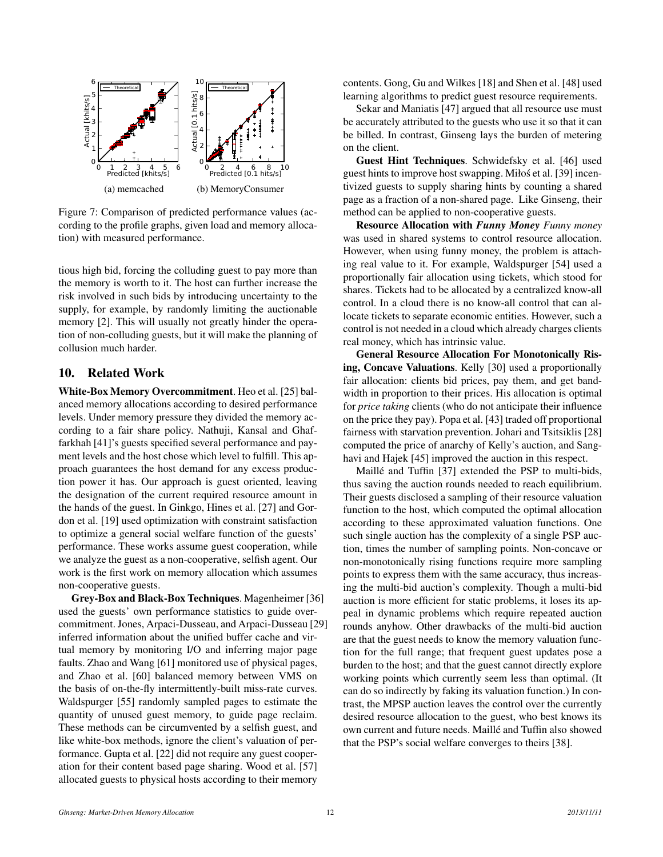

Figure 7: Comparison of predicted performance values (according to the profile graphs, given load and memory allocation) with measured performance.

tious high bid, forcing the colluding guest to pay more than the memory is worth to it. The host can further increase the risk involved in such bids by introducing uncertainty to the supply, for example, by randomly limiting the auctionable memory [2]. This will usually not greatly hinder the operation of non-colluding guests, but it will make the planning of collusion much harder.

# 10. Related Work

White-Box Memory Overcommitment. Heo et al. [25] balanced memory allocations according to desired performance levels. Under memory pressure they divided the memory according to a fair share policy. Nathuji, Kansal and Ghaffarkhah [41]'s guests specified several performance and payment levels and the host chose which level to fulfill. This approach guarantees the host demand for any excess production power it has. Our approach is guest oriented, leaving the designation of the current required resource amount in the hands of the guest. In Ginkgo, Hines et al. [27] and Gordon et al. [19] used optimization with constraint satisfaction to optimize a general social welfare function of the guests' performance. These works assume guest cooperation, while we analyze the guest as a non-cooperative, selfish agent. Our work is the first work on memory allocation which assumes non-cooperative guests.

Grey-Box and Black-Box Techniques. Magenheimer [36] used the guests' own performance statistics to guide overcommitment. Jones, Arpaci-Dusseau, and Arpaci-Dusseau [29] inferred information about the unified buffer cache and virtual memory by monitoring I/O and inferring major page faults. Zhao and Wang [61] monitored use of physical pages, and Zhao et al. [60] balanced memory between VMS on the basis of on-the-fly intermittently-built miss-rate curves. Waldspurger [55] randomly sampled pages to estimate the quantity of unused guest memory, to guide page reclaim. These methods can be circumvented by a selfish guest, and like white-box methods, ignore the client's valuation of performance. Gupta et al. [22] did not require any guest cooperation for their content based page sharing. Wood et al. [57] allocated guests to physical hosts according to their memory

contents. Gong, Gu and Wilkes [18] and Shen et al. [48] used learning algorithms to predict guest resource requirements.

Sekar and Maniatis [47] argued that all resource use must be accurately attributed to the guests who use it so that it can be billed. In contrast, Ginseng lays the burden of metering on the client.

Guest Hint Techniques. Schwidefsky et al. [46] used guest hints to improve host swapping. Miłos et al. [39] incen- ´ tivized guests to supply sharing hints by counting a shared page as a fraction of a non-shared page. Like Ginseng, their method can be applied to non-cooperative guests.

Resource Allocation with *Funny Money Funny money* was used in shared systems to control resource allocation. However, when using funny money, the problem is attaching real value to it. For example, Waldspurger [54] used a proportionally fair allocation using tickets, which stood for shares. Tickets had to be allocated by a centralized know-all control. In a cloud there is no know-all control that can allocate tickets to separate economic entities. However, such a control is not needed in a cloud which already charges clients real money, which has intrinsic value.

General Resource Allocation For Monotonically Rising, Concave Valuations. Kelly [30] used a proportionally fair allocation: clients bid prices, pay them, and get bandwidth in proportion to their prices. His allocation is optimal for *price taking* clients (who do not anticipate their influence on the price they pay). Popa et al. [43] traded off proportional fairness with starvation prevention. Johari and Tsitsiklis [28] computed the price of anarchy of Kelly's auction, and Sanghavi and Hajek [45] improved the auction in this respect.

Maillé and Tuffin [37] extended the PSP to multi-bids, thus saving the auction rounds needed to reach equilibrium. Their guests disclosed a sampling of their resource valuation function to the host, which computed the optimal allocation according to these approximated valuation functions. One such single auction has the complexity of a single PSP auction, times the number of sampling points. Non-concave or non-monotonically rising functions require more sampling points to express them with the same accuracy, thus increasing the multi-bid auction's complexity. Though a multi-bid auction is more efficient for static problems, it loses its appeal in dynamic problems which require repeated auction rounds anyhow. Other drawbacks of the multi-bid auction are that the guest needs to know the memory valuation function for the full range; that frequent guest updates pose a burden to the host; and that the guest cannot directly explore working points which currently seem less than optimal. (It can do so indirectly by faking its valuation function.) In contrast, the MPSP auction leaves the control over the currently desired resource allocation to the guest, who best knows its own current and future needs. Maillé and Tuffin also showed that the PSP's social welfare converges to theirs [38].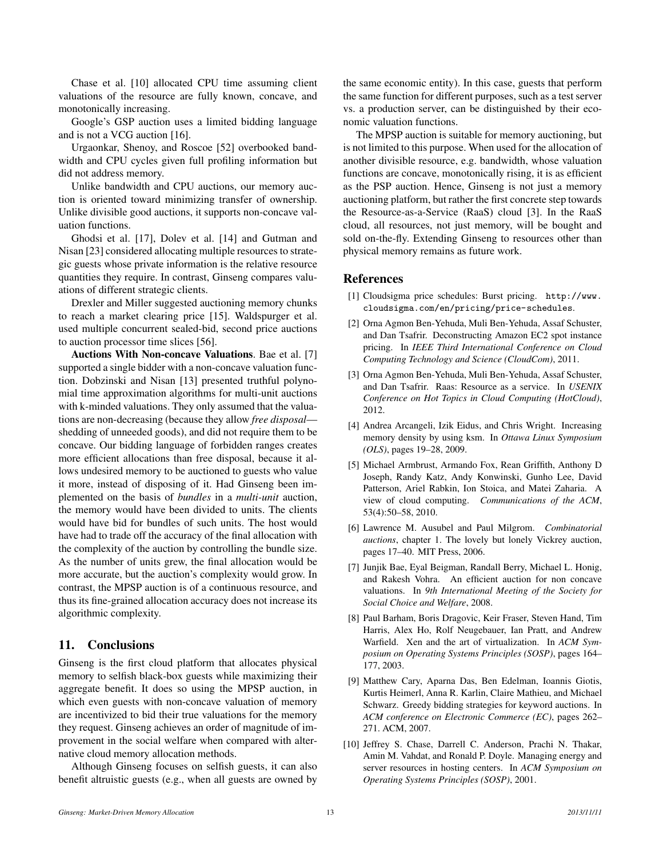Chase et al. [10] allocated CPU time assuming client valuations of the resource are fully known, concave, and monotonically increasing.

Google's GSP auction uses a limited bidding language and is not a VCG auction [16].

Urgaonkar, Shenoy, and Roscoe [52] overbooked bandwidth and CPU cycles given full profiling information but did not address memory.

Unlike bandwidth and CPU auctions, our memory auction is oriented toward minimizing transfer of ownership. Unlike divisible good auctions, it supports non-concave valuation functions.

Ghodsi et al. [17], Dolev et al. [14] and Gutman and Nisan [23] considered allocating multiple resources to strategic guests whose private information is the relative resource quantities they require. In contrast, Ginseng compares valuations of different strategic clients.

Drexler and Miller suggested auctioning memory chunks to reach a market clearing price [15]. Waldspurger et al. used multiple concurrent sealed-bid, second price auctions to auction processor time slices [56].

Auctions With Non-concave Valuations. Bae et al. [7] supported a single bidder with a non-concave valuation function. Dobzinski and Nisan [13] presented truthful polynomial time approximation algorithms for multi-unit auctions with k-minded valuations. They only assumed that the valuations are non-decreasing (because they allow *free disposal* shedding of unneeded goods), and did not require them to be concave. Our bidding language of forbidden ranges creates more efficient allocations than free disposal, because it allows undesired memory to be auctioned to guests who value it more, instead of disposing of it. Had Ginseng been implemented on the basis of *bundles* in a *multi-unit* auction, the memory would have been divided to units. The clients would have bid for bundles of such units. The host would have had to trade off the accuracy of the final allocation with the complexity of the auction by controlling the bundle size. As the number of units grew, the final allocation would be more accurate, but the auction's complexity would grow. In contrast, the MPSP auction is of a continuous resource, and thus its fine-grained allocation accuracy does not increase its algorithmic complexity.

# 11. Conclusions

Ginseng is the first cloud platform that allocates physical memory to selfish black-box guests while maximizing their aggregate benefit. It does so using the MPSP auction, in which even guests with non-concave valuation of memory are incentivized to bid their true valuations for the memory they request. Ginseng achieves an order of magnitude of improvement in the social welfare when compared with alternative cloud memory allocation methods.

Although Ginseng focuses on selfish guests, it can also benefit altruistic guests (e.g., when all guests are owned by

the same economic entity). In this case, guests that perform the same function for different purposes, such as a test server vs. a production server, can be distinguished by their economic valuation functions.

The MPSP auction is suitable for memory auctioning, but is not limited to this purpose. When used for the allocation of another divisible resource, e.g. bandwidth, whose valuation functions are concave, monotonically rising, it is as efficient as the PSP auction. Hence, Ginseng is not just a memory auctioning platform, but rather the first concrete step towards the Resource-as-a-Service (RaaS) cloud [3]. In the RaaS cloud, all resources, not just memory, will be bought and sold on-the-fly. Extending Ginseng to resources other than physical memory remains as future work.

# References

- [1] Cloudsigma price schedules: Burst pricing. http://www. cloudsigma.com/en/pricing/price-schedules.
- [2] Orna Agmon Ben-Yehuda, Muli Ben-Yehuda, Assaf Schuster, and Dan Tsafrir. Deconstructing Amazon EC2 spot instance pricing. In *IEEE Third International Conference on Cloud Computing Technology and Science (CloudCom)*, 2011.
- [3] Orna Agmon Ben-Yehuda, Muli Ben-Yehuda, Assaf Schuster, and Dan Tsafrir. Raas: Resource as a service. In *USENIX Conference on Hot Topics in Cloud Computing (HotCloud)*, 2012.
- [4] Andrea Arcangeli, Izik Eidus, and Chris Wright. Increasing memory density by using ksm. In *Ottawa Linux Symposium (OLS)*, pages 19–28, 2009.
- [5] Michael Armbrust, Armando Fox, Rean Griffith, Anthony D Joseph, Randy Katz, Andy Konwinski, Gunho Lee, David Patterson, Ariel Rabkin, Ion Stoica, and Matei Zaharia. A view of cloud computing. *Communications of the ACM*, 53(4):50–58, 2010.
- [6] Lawrence M. Ausubel and Paul Milgrom. *Combinatorial auctions*, chapter 1. The lovely but lonely Vickrey auction, pages 17–40. MIT Press, 2006.
- [7] Junjik Bae, Eyal Beigman, Randall Berry, Michael L. Honig, and Rakesh Vohra. An efficient auction for non concave valuations. In *9th International Meeting of the Society for Social Choice and Welfare*, 2008.
- [8] Paul Barham, Boris Dragovic, Keir Fraser, Steven Hand, Tim Harris, Alex Ho, Rolf Neugebauer, Ian Pratt, and Andrew Warfield. Xen and the art of virtualization. In *ACM Symposium on Operating Systems Principles (SOSP)*, pages 164– 177, 2003.
- [9] Matthew Cary, Aparna Das, Ben Edelman, Ioannis Giotis, Kurtis Heimerl, Anna R. Karlin, Claire Mathieu, and Michael Schwarz. Greedy bidding strategies for keyword auctions. In *ACM conference on Electronic Commerce (EC)*, pages 262– 271. ACM, 2007.
- [10] Jeffrey S. Chase, Darrell C. Anderson, Prachi N. Thakar, Amin M. Vahdat, and Ronald P. Doyle. Managing energy and server resources in hosting centers. In *ACM Symposium on Operating Systems Principles (SOSP)*, 2001.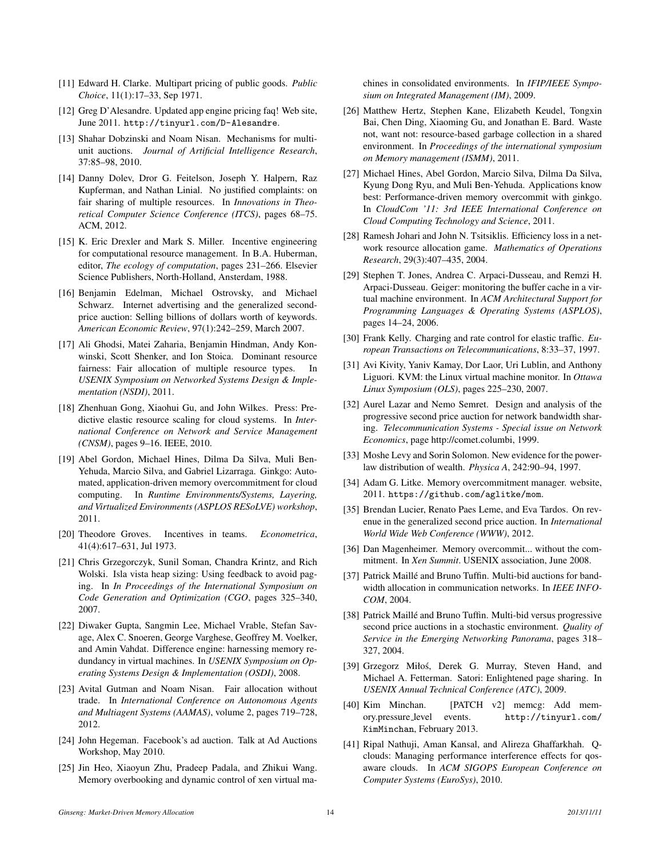- [11] Edward H. Clarke. Multipart pricing of public goods. *Public Choice*, 11(1):17–33, Sep 1971.
- [12] Greg D'Alesandre. Updated app engine pricing faq! Web site, June 2011. http://tinyurl.com/D-Alesandre.
- [13] Shahar Dobzinski and Noam Nisan. Mechanisms for multiunit auctions. *Journal of Artificial Intelligence Research*, 37:85–98, 2010.
- [14] Danny Dolev, Dror G. Feitelson, Joseph Y. Halpern, Raz Kupferman, and Nathan Linial. No justified complaints: on fair sharing of multiple resources. In *Innovations in Theoretical Computer Science Conference (ITCS)*, pages 68–75. ACM, 2012.
- [15] K. Eric Drexler and Mark S. Miller. Incentive engineering for computational resource management. In B.A. Huberman, editor, *The ecology of computation*, pages 231–266. Elsevier Science Publishers, North-Holland, Ansterdam, 1988.
- [16] Benjamin Edelman, Michael Ostrovsky, and Michael Schwarz. Internet advertising and the generalized secondprice auction: Selling billions of dollars worth of keywords. *American Economic Review*, 97(1):242–259, March 2007.
- [17] Ali Ghodsi, Matei Zaharia, Benjamin Hindman, Andy Konwinski, Scott Shenker, and Ion Stoica. Dominant resource fairness: Fair allocation of multiple resource types. In *USENIX Symposium on Networked Systems Design & Implementation (NSDI)*, 2011.
- [18] Zhenhuan Gong, Xiaohui Gu, and John Wilkes. Press: Predictive elastic resource scaling for cloud systems. In *International Conference on Network and Service Management (CNSM)*, pages 9–16. IEEE, 2010.
- [19] Abel Gordon, Michael Hines, Dilma Da Silva, Muli Ben-Yehuda, Marcio Silva, and Gabriel Lizarraga. Ginkgo: Automated, application-driven memory overcommitment for cloud computing. In *Runtime Environments/Systems, Layering, and Virtualized Environments (ASPLOS RESoLVE) workshop*, 2011.
- [20] Theodore Groves. Incentives in teams. *Econometrica*, 41(4):617–631, Jul 1973.
- [21] Chris Grzegorczyk, Sunil Soman, Chandra Krintz, and Rich Wolski. Isla vista heap sizing: Using feedback to avoid paging. In *In Proceedings of the International Symposium on Code Generation and Optimization (CGO*, pages 325–340, 2007.
- [22] Diwaker Gupta, Sangmin Lee, Michael Vrable, Stefan Savage, Alex C. Snoeren, George Varghese, Geoffrey M. Voelker, and Amin Vahdat. Difference engine: harnessing memory redundancy in virtual machines. In *USENIX Symposium on Operating Systems Design & Implementation (OSDI)*, 2008.
- [23] Avital Gutman and Noam Nisan. Fair allocation without trade. In *International Conference on Autonomous Agents and Multiagent Systems (AAMAS)*, volume 2, pages 719–728, 2012.
- [24] John Hegeman. Facebook's ad auction. Talk at Ad Auctions Workshop, May 2010.
- [25] Jin Heo, Xiaoyun Zhu, Pradeep Padala, and Zhikui Wang. Memory overbooking and dynamic control of xen virtual ma-

chines in consolidated environments. In *IFIP/IEEE Symposium on Integrated Management (IM)*, 2009.

- [26] Matthew Hertz, Stephen Kane, Elizabeth Keudel, Tongxin Bai, Chen Ding, Xiaoming Gu, and Jonathan E. Bard. Waste not, want not: resource-based garbage collection in a shared environment. In *Proceedings of the international symposium on Memory management (ISMM)*, 2011.
- [27] Michael Hines, Abel Gordon, Marcio Silva, Dilma Da Silva, Kyung Dong Ryu, and Muli Ben-Yehuda. Applications know best: Performance-driven memory overcommit with ginkgo. In *CloudCom '11: 3rd IEEE International Conference on Cloud Computing Technology and Science*, 2011.
- [28] Ramesh Johari and John N. Tsitsiklis. Efficiency loss in a network resource allocation game. *Mathematics of Operations Research*, 29(3):407–435, 2004.
- [29] Stephen T. Jones, Andrea C. Arpaci-Dusseau, and Remzi H. Arpaci-Dusseau. Geiger: monitoring the buffer cache in a virtual machine environment. In *ACM Architectural Support for Programming Languages & Operating Systems (ASPLOS)*, pages 14–24, 2006.
- [30] Frank Kelly. Charging and rate control for elastic traffic. *European Transactions on Telecommunications*, 8:33–37, 1997.
- [31] Avi Kivity, Yaniv Kamay, Dor Laor, Uri Lublin, and Anthony Liguori. KVM: the Linux virtual machine monitor. In *Ottawa Linux Symposium (OLS)*, pages 225–230, 2007.
- [32] Aurel Lazar and Nemo Semret. Design and analysis of the progressive second price auction for network bandwidth sharing. *Telecommunication Systems - Special issue on Network Economics*, page http://comet.columbi, 1999.
- [33] Moshe Levy and Sorin Solomon. New evidence for the powerlaw distribution of wealth. *Physica A*, 242:90–94, 1997.
- [34] Adam G. Litke. Memory overcommitment manager. website, 2011. https://github.com/aglitke/mom.
- [35] Brendan Lucier, Renato Paes Leme, and Eva Tardos. On revenue in the generalized second price auction. In *International World Wide Web Conference (WWW)*, 2012.
- [36] Dan Magenheimer. Memory overcommit... without the commitment. In *Xen Summit*. USENIX association, June 2008.
- [37] Patrick Maillé and Bruno Tuffin. Multi-bid auctions for bandwidth allocation in communication networks. In *IEEE INFO-COM*, 2004.
- [38] Patrick Maillé and Bruno Tuffin. Multi-bid versus progressive second price auctions in a stochastic environment. *Quality of Service in the Emerging Networking Panorama*, pages 318– 327, 2004.
- [39] Grzegorz Miłos, Derek G. Murray, Steven Hand, and ´ Michael A. Fetterman. Satori: Enlightened page sharing. In *USENIX Annual Technical Conference (ATC)*, 2009.
- [40] Kim Minchan. [PATCH v2] memcg: Add memory.pressure level events. http://tinyurl.com/ KimMinchan, February 2013.
- [41] Ripal Nathuji, Aman Kansal, and Alireza Ghaffarkhah. Qclouds: Managing performance interference effects for qosaware clouds. In *ACM SIGOPS European Conference on Computer Systems (EuroSys)*, 2010.